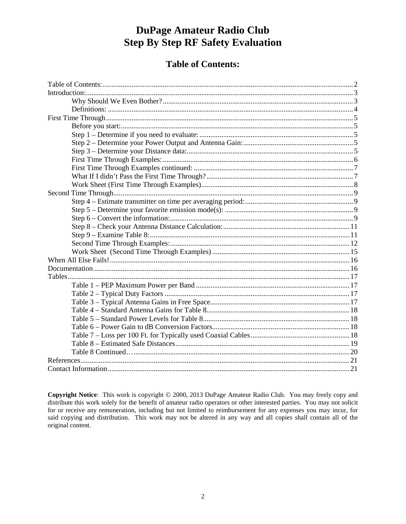### **Table of Contents:**

Copyright Notice: This work is copyright © 2000, 2013 DuPage Amateur Radio Club. You may freely copy and distribute this work solely for the benefit of amateur radio operators or other interested parties. You may not solicit for or receive any remuneration, including but not limited to reimbursement for any expenses you may incur, for said copying and distribution. This work may not be altered in any way and all copies shall contain all of the original content.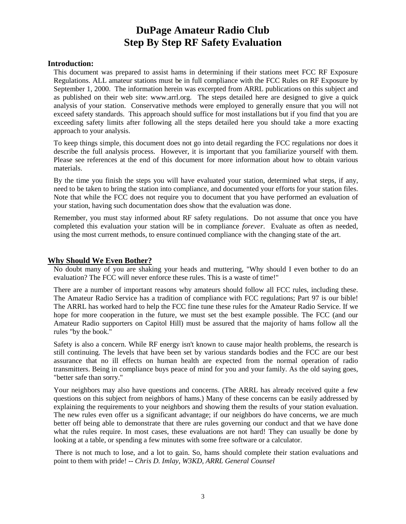#### **Introduction:**

This document was prepared to assist hams in determining if their stations meet FCC RF Exposure Regulations. ALL amateur stations must be in full compliance with the FCC Rules on RF Exposure by September 1, 2000. The information herein was excerpted from ARRL publications on this subject and as published on their web site: www.arrl.org. The steps detailed here are designed to give a quick analysis of your station. Conservative methods were employed to generally ensure that you will not exceed safety standards. This approach should suffice for most installations but if you find that you are exceeding safety limits after following all the steps detailed here you should take a more exacting approach to your analysis.

To keep things simple, this document does not go into detail regarding the FCC regulations nor does it describe the full analysis process. However, it is important that you familiarize yourself with them. Please see references at the end of this document for more information about how to obtain various materials.

By the time you finish the steps you will have evaluated your station, determined what steps, if any, need to be taken to bring the station into compliance, and documented your efforts for your station files. Note that while the FCC does not require you to document that you have performed an evaluation of your station, having such documentation does show that the evaluation was done.

Remember, you must stay informed about RF safety regulations. Do not assume that once you have completed this evaluation your station will be in compliance *forever*. Evaluate as often as needed, using the most current methods, to ensure continued compliance with the changing state of the art.

#### **Why Should We Even Bother?**

No doubt many of you are shaking your heads and muttering, "Why should I even bother to do an evaluation? The FCC will never enforce these rules. This is a waste of time!"

There are a number of important reasons why amateurs should follow all FCC rules, including these. The Amateur Radio Service has a tradition of compliance with FCC regulations; Part 97 is our bible! The ARRL has worked hard to help the FCC fine tune these rules for the Amateur Radio Service. If we hope for more cooperation in the future, we must set the best example possible. The FCC (and our Amateur Radio supporters on Capitol Hill) must be assured that the majority of hams follow all the rules "by the book."

Safety is also a concern. While RF energy isn't known to cause major health problems, the research is still continuing. The levels that have been set by various standards bodies and the FCC are our best assurance that no ill effects on human health are expected from the normal operation of radio transmitters. Being in compliance buys peace of mind for you and your family. As the old saying goes, "better safe than sorry."

Your neighbors may also have questions and concerns. (The ARRL has already received quite a few questions on this subject from neighbors of hams.) Many of these concerns can be easily addressed by explaining the requirements to your neighbors and showing them the results of your station evaluation. The new rules even offer us a significant advantage; if our neighbors do have concerns, we are much better off being able to demonstrate that there are rules governing our conduct and that we have done what the rules require. In most cases, these evaluations are not hard! They can usually be done by looking at a table, or spending a few minutes with some free software or a calculator.

There is not much to lose, and a lot to gain. So, hams should complete their station evaluations and point to them with pride! -- *Chris D. Imlay, W3KD, ARRL General Counsel*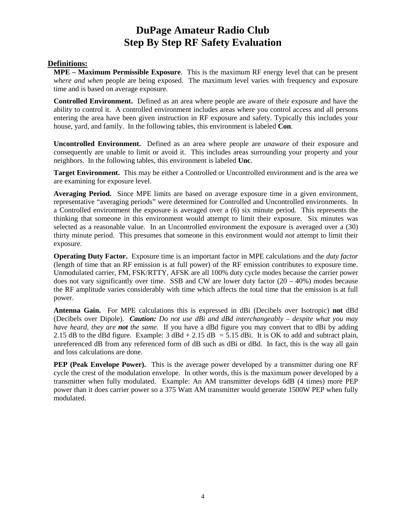#### **Definitions:**

**MPE – Maximum Permissible Exposure**. This is the maximum RF energy level that can be present *where and when* people are being exposed. The maximum level varies with frequency and exposure time and is based on average exposure.

**Controlled Environment.** Defined as an area where people are aware of their exposure and have the ability to control it. A controlled environment includes areas where you control access and all persons entering the area have been given instruction in RF exposure and safety. Typically this includes your house, yard, and family. In the following tables, this environment is labeled **Con**.

**Uncontrolled Environment.** Defined as an area where people are *unaware* of their exposure and consequently are unable to limit or avoid it. This includes areas surrounding your property and your neighbors. In the following tables, this environment is labeled **Unc**.

**Target Environment.** This may be either a Controlled or Uncontrolled environment and is the area we are examining for exposure level.

**Averaging Period.** Since MPE limits are based on average exposure time in a given environment, representative "averaging periods" were determined for Controlled and Uncontrolled environments. In a Controlled environment the exposure is averaged over a (6) six minute period. This represents the thinking that someone in this environment would attempt to limit their exposure. Six minutes was selected as a reasonable value. In an Uncontrolled environment the exposure is averaged over a (30) thirty minute period. This presumes that someone in this environment would *not* attempt to limit their exposure.

**Operating Duty Factor.** Exposure time is an important factor in MPE calculations and the *duty factor*  (length of time that an RF emission is at full power) of the RF emission contributes to exposure time. Unmodulated carrier, FM, FSK/RTTY, AFSK are all 100% duty cycle modes because the carrier power does not vary significantly over time. SSB and CW are lower duty factor  $(20 - 40%)$  modes because the RF amplitude varies considerably with time which affects the total time that the emission is at full power.

**Antenna Gain.** For MPE calculations this is expressed in dBi (Decibels over Isotropic) **not** dBd (Decibels over Dipole). *Caution: Do not use dBi and dBd interchangeably – despite what you may have heard, they are not the same.* If you have a dBd figure you may convert that to dBi by adding 2.15 dB to the dBd figure. Example:  $3$  dBd + 2.15 dB = 5.15 dBi. It is OK to add and subtract plain, unreferenced dB from any referenced form of dB such as dBi or dBd. In fact, this is the way all gain and loss calculations are done.

**PEP (Peak Envelope Power).** This is the average power developed by a transmitter during one RF cycle the crest of the modulation envelope. In other words, this is the maximum power developed by a transmitter when fully modulated. Example: An AM transmitter develops 6dB (4 times) more PEP power than it does carrier power so a 375 Watt AM transmitter would generate 1500W PEP when fully modulated.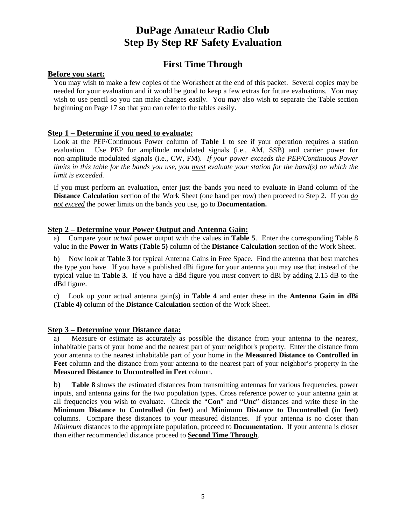### **First Time Through**

#### **Before you start:**

You may wish to make a few copies of the Worksheet at the end of this packet. Several copies may be needed for your evaluation and it would be good to keep a few extras for future evaluations. You may wish to use pencil so you can make changes easily. You may also wish to separate the Table section beginning on Page 17 so that you can refer to the tables easily.

#### **Step 1 – Determine if you need to evaluate:**

Look at the PEP/Continuous Power column of **Table 1** to see if your operation requires a station evaluation. Use PEP for amplitude modulated signals (i.e., AM, SSB) and carrier power for non-amplitude modulated signals (i.e., CW, FM). *If your power exceeds the PEP/Continuous Power limits in this table for the bands you use, you must evaluate your station for the band(s) on which the limit is exceeded.*

If you must perform an evaluation, enter just the bands you need to evaluate in Band column of the **Distance Calculation** section of the Work Sheet (one band per row) then proceed to Step 2. If you *do not exceed* the power limits on the bands you use, go to **Documentation.**

#### **Step 2 – Determine your Power Output and Antenna Gain:**

a) Compare your *actual* power output with the values in **Table 5**. Enter the corresponding Table 8 value in the **Power in Watts (Table 5)** column of the **Distance Calculation** section of the Work Sheet.

b) Now look at **Table 3** for typical Antenna Gains in Free Space. Find the antenna that best matches the type you have. If you have a published dBi figure for your antenna you may use that instead of the typical value in **Table 3.** If you have a dBd figure you *must* convert to dBi by adding 2.15 dB to the dBd figure.

c) Look up your actual antenna gain(s) in **Table 4** and enter these in the **Antenna Gain in dBi (Table 4)** column of the **Distance Calculation** section of the Work Sheet.

#### **Step 3 – Determine your Distance data:**

a) Measure or estimate as accurately as possible the distance from your antenna to the nearest, inhabitable parts of your home and the nearest part of your neighbor's property. Enter the distance from your antenna to the nearest inhabitable part of your home in the **Measured Distance to Controlled in Feet** column and the distance from your antenna to the nearest part of your neighbor's property in the **Measured Distance to Uncontrolled in Feet** column.

b) **Table 8** shows the estimated distances from transmitting antennas for various frequencies, power inputs, and antenna gains for the two population types. Cross reference power to your antenna gain at all frequencies you wish to evaluate. Check the "**Con**" and "**Unc**" distances and write these in the **Minimum Distance to Controlled (in feet)** and **Minimum Distance to Uncontrolled (in feet)**  columns.Compare these distances to your measured distances. If your antenna is no closer than *Minimum* distances to the appropriate population, proceed to **Documentation**. If your antenna is closer than either recommended distance proceed to **Second Time Through**.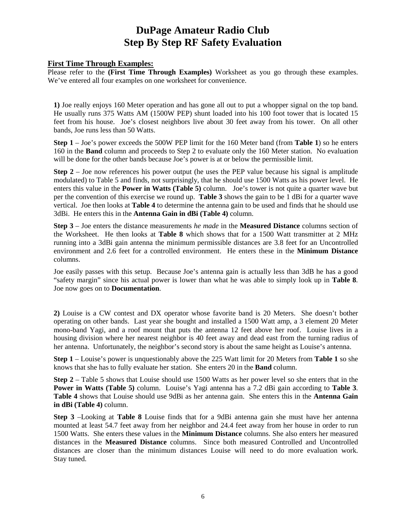#### **First Time Through Examples:**

Please refer to the **(First Time Through Examples)** Worksheet as you go through these examples. We've entered all four examples on one worksheet for convenience.

**1)** Joe really enjoys 160 Meter operation and has gone all out to put a whopper signal on the top band. He usually runs 375 Watts AM (1500W PEP) shunt loaded into his 100 foot tower that is located 15 feet from his house. Joe's closest neighbors live about 30 feet away from his tower. On all other bands, Joe runs less than 50 Watts.

**Step 1** – Joe's power exceeds the 500W PEP limit for the 160 Meter band (from **Table 1**) so he enters 160 in the **Band** column and proceeds to Step 2 to evaluate only the 160 Meter station. No evaluation will be done for the other bands because Joe's power is at or below the permissible limit.

**Step 2** – Joe now references his power output (he uses the PEP value because his signal is amplitude modulated) to Table 5 and finds, not surprisingly, that he should use 1500 Watts as his power level. He enters this value in the **Power in Watts (Table 5)** column. Joe's tower is not quite a quarter wave but per the convention of this exercise we round up. **Table 3** shows the gain to be 1 dBi for a quarter wave vertical. Joe then looks at **Table 4** to determine the antenna gain to be used and finds that he should use 3dBi. He enters this in the **Antenna Gain in dBi (Table 4)** column.

**Step 3** – Joe enters the distance measurements *he made* in the **Measured Distance** columns section of the Worksheet. He then looks at **Table 8** which shows that for a 1500 Watt transmitter at 2 MHz running into a 3dBi gain antenna the minimum permissible distances are 3.8 feet for an Uncontrolled environment and 2.6 feet for a controlled environment. He enters these in the **Minimum Distance** columns.

Joe easily passes with this setup. Because Joe's antenna gain is actually less than 3dB he has a good "safety margin" since his actual power is lower than what he was able to simply look up in **Table 8**. Joe now goes on to **Documentation**.

**2)** Louise is a CW contest and DX operator whose favorite band is 20 Meters. She doesn't bother operating on other bands. Last year she bought and installed a 1500 Watt amp, a 3 element 20 Meter mono-band Yagi, and a roof mount that puts the antenna 12 feet above her roof. Louise lives in a housing division where her nearest neighbor is 40 feet away and dead east from the turning radius of her antenna. Unfortunately, the neighbor's second story is about the same height as Louise's antenna.

**Step 1** – Louise's power is unquestionably above the 225 Watt limit for 20 Meters from **Table 1** so she knows that she has to fully evaluate her station. She enters 20 in the **Band** column.

**Step 2** – Table 5 shows that Louise should use 1500 Watts as her power level so she enters that in the **Power in Watts (Table 5)** column. Louise's Yagi antenna has a 7.2 dBi gain according to **Table 3**. **Table 4** shows that Louise should use 9dBi as her antenna gain. She enters this in the **Antenna Gain in dBi (Table 4)** column.

**Step 3** –Looking at **Table 8** Louise finds that for a 9dBi antenna gain she must have her antenna mounted at least 54.7 feet away from her neighbor and 24.4 feet away from her house in order to run 1500 Watts. She enters these values in the **Minimum Distance** columns. She also enters her measured distances in the **Measured Distance** columns. Since both measured Controlled and Uncontrolled distances are closer than the minimum distances Louise will need to do more evaluation work. Stay tuned.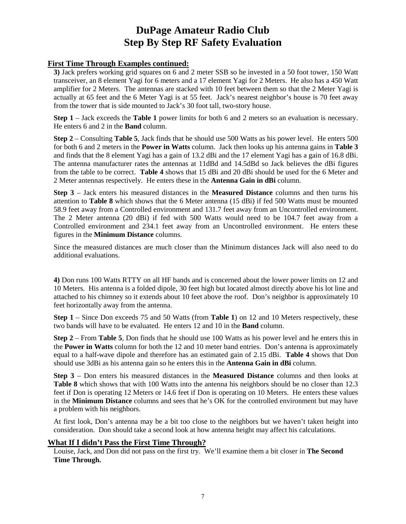#### **First Time Through Examples continued:**

**3)** Jack prefers working grid squares on 6 and 2 meter SSB so he invested in a 50 foot tower, 150 Watt transceiver, an 8 element Yagi for 6 meters and a 17 element Yagi for 2 Meters. He also has a 450 Watt amplifier for 2 Meters. The antennas are stacked with 10 feet between them so that the 2 Meter Yagi is actually at 65 feet and the 6 Meter Yagi is at 55 feet. Jack's nearest neighbor's house is 70 feet away from the tower that is side mounted to Jack's 30 foot tall, two-story house.

**Step 1** – Jack exceeds the **Table 1** power limits for both 6 and 2 meters so an evaluation is necessary. He enters 6 and 2 in the **Band** column.

**Step 2** – Consulting **Table 5**, Jack finds that he should use 500 Watts as his power level. He enters 500 for both 6 and 2 meters in the **Power in Watts** column. Jack then looks up his antenna gains in **Table 3** and finds that the 8 element Yagi has a gain of 13.2 dBi and the 17 element Yagi has a gain of 16.8 dBi. The antenna manufacturer rates the antennas at 11dBd and 14.5dBd so Jack believes the dBi figures from the table to be correct. **Table 4** shows that 15 dBi and 20 dBi should be used for the 6 Meter and 2 Meter antennas respectively. He enters these in the **Antenna Gain in dBi** column.

**Step 3** – Jack enters his measured distances in the **Measured Distance** columns and then turns his attention to **Table 8** which shows that the 6 Meter antenna (15 dBi) if fed 500 Watts must be mounted 58.9 feet away from a Controlled environment and 131.7 feet away from an Uncontrolled environment. The 2 Meter antenna (20 dBi) if fed with 500 Watts would need to be 104.7 feet away from a Controlled environment and 234.1 feet away from an Uncontrolled environment. He enters these figures in the **Minimum Distance** columns.

Since the measured distances are much closer than the Minimum distances Jack will also need to do additional evaluations.

**4)** Don runs 100 Watts RTTY on all HF bands and is concerned about the lower power limits on 12 and 10 Meters. His antenna is a folded dipole, 30 feet high but located almost directly above his lot line and attached to his chimney so it extends about 10 feet above the roof. Don's neighbor is approximately 10 feet horizontally away from the antenna.

**Step 1** – Since Don exceeds 75 and 50 Watts (from **Table 1**) on 12 and 10 Meters respectively, these two bands will have to be evaluated. He enters 12 and 10 in the **Band** column.

**Step 2** – From **Table 5**, Don finds that he should use 100 Watts as his power level and he enters this in the **Power in Watts** column for both the 12 and 10 meter band entries. Don's antenna is approximately equal to a half-wave dipole and therefore has an estimated gain of 2.15 dBi. **Table 4** shows that Don should use 3dBi as his antenna gain so he enters this in the **Antenna Gain in dBi** column.

**Step 3** – Don enters his measured distances in the **Measured Distance** columns and then looks at **Table 8** which shows that with 100 Watts into the antenna his neighbors should be no closer than 12.3 feet if Don is operating 12 Meters or 14.6 feet if Don is operating on 10 Meters. He enters these values in the **Minimum Distance** columns and sees that he's OK for the controlled environment but may have a problem with his neighbors.

At first look, Don's antenna may be a bit too close to the neighbors but we haven't taken height into consideration. Don should take a second look at how antenna height may affect his calculations.

#### **What If I didn't Pass the First Time Through?**

Louise, Jack, and Don did not pass on the first try. We'll examine them a bit closer in **The Second Time Through.**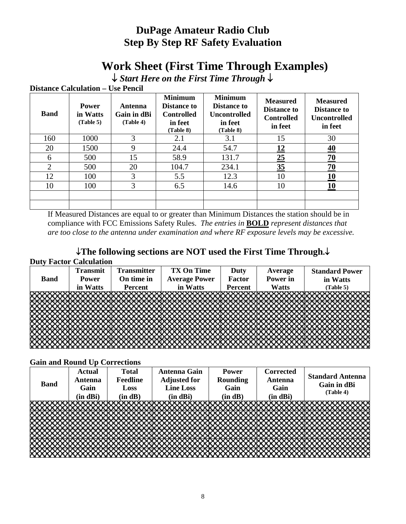# **Work Sheet (First Time Through Examples)**

↓ *Start Here on the First Time Through* ↓

|                | <b>Distance Calculation - Use Pencil</b> |                                     |                                                                                   |                                                                                     |                                                                       |                                                                         |  |
|----------------|------------------------------------------|-------------------------------------|-----------------------------------------------------------------------------------|-------------------------------------------------------------------------------------|-----------------------------------------------------------------------|-------------------------------------------------------------------------|--|
| <b>Band</b>    | <b>Power</b><br>in Watts<br>(Table 5)    | Antenna<br>Gain in dBi<br>(Table 4) | <b>Minimum</b><br><b>Distance to</b><br><b>Controlled</b><br>in feet<br>(Table 8) | <b>Minimum</b><br><b>Distance to</b><br><b>Uncontrolled</b><br>in feet<br>(Table 8) | <b>Measured</b><br><b>Distance to</b><br><b>Controlled</b><br>in feet | <b>Measured</b><br><b>Distance to</b><br><b>Uncontrolled</b><br>in feet |  |
| 160            | 1000                                     | 3                                   | 2.1                                                                               | 3.1                                                                                 | 15                                                                    | 30                                                                      |  |
| 20             | 1500                                     | 9                                   | 24.4                                                                              | 54.7                                                                                | 12                                                                    | 40                                                                      |  |
| 6              | 500                                      | 15                                  | 58.9                                                                              | 131.7                                                                               | 25                                                                    | 70                                                                      |  |
| $\overline{2}$ | 500                                      | 20                                  | 104.7                                                                             | 234.1                                                                               | 35                                                                    | 70                                                                      |  |
| 12             | 100                                      | 3                                   | 5.5                                                                               | 12.3                                                                                | 10                                                                    | 10                                                                      |  |
| 10             | 100                                      | 3                                   | 6.5                                                                               | 14.6                                                                                | 10                                                                    | 10                                                                      |  |
|                |                                          |                                     |                                                                                   |                                                                                     |                                                                       |                                                                         |  |

If Measured Distances are equal to or greater than Minimum Distances the station should be in compliance with FCC Emissions Safety Rules. *The entries in* **BOLD** *represent distances that are too close to the antenna under examination and where RF exposure levels may be excessive.*

# ↓**The following sections are NOT used the First Time Through.**↓

#### **Duty Factor Calculation**

|             | Transmit     | <b>Transmitter</b> | <b>TX On Time</b>    | Duty           | Average  | <b>Standard Power</b> |
|-------------|--------------|--------------------|----------------------|----------------|----------|-----------------------|
| <b>Band</b> | <b>Power</b> | On time in         | <b>Average Power</b> | <b>Factor</b>  | Power in | in Watts              |
|             | in Watts     | <b>Percent</b>     | in Watts             | <b>Percent</b> | Watts    | (Table 5)             |
|             |              |                    |                      |                |          |                       |
|             |              |                    |                      |                |          |                       |
|             |              |                    |                      |                |          |                       |
|             |              |                    |                      |                |          |                       |
|             |              |                    |                      |                |          |                       |
|             |              |                    |                      |                |          |                       |

### **Gain and Round Up Corrections**

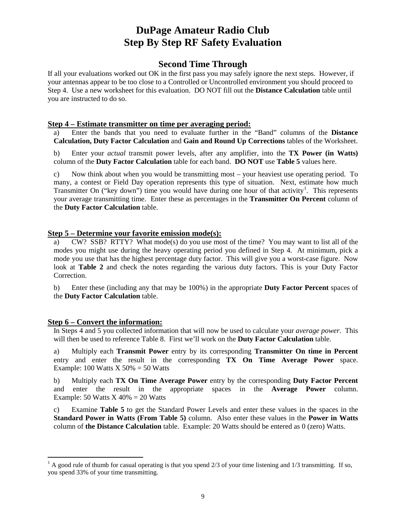### **Second Time Through**

If all your evaluations worked out OK in the first pass you may safely ignore the next steps. However, if your antennas appear to be too close to a Controlled or Uncontrolled environment you should proceed to Step 4. Use a new worksheet for this evaluation. DO NOT fill out the **Distance Calculation** table until you are instructed to do so.

#### **Step 4 – Estimate transmitter on time per averaging period:**

a) Enter the bands that you need to evaluate further in the "Band" columns of the **Distance Calculation, Duty Factor Calculation** and **Gain and Round Up Corrections** tables of the Worksheet.

b) Enter your *actual* transmit power levels, after any amplifier, into the **TX Power (in Watts)** column of the **Duty Factor Calculation** table for each band. **DO NOT** use **Table 5** values here.

c) Now think about when you would be transmitting most – your heaviest use operating period. To many, a contest or Field Day operation represents this type of situation. Next, estimate how much Transmitter On ("key down") time you would have during one hour of that activity<sup>[1](#page-8-0)</sup>. This represents your average transmitting time. Enter these as percentages in the **Transmitter On Percent** column of the **Duty Factor Calculation** table.

#### **Step 5 – Determine your favorite emission mode(s):**

a) CW? SSB? RTTY? What mode(s) do you use most of the time? You may want to list all of the modes you might use during the heavy operating period you defined in Step 4. At minimum, pick a mode you use that has the highest percentage duty factor. This will give you a worst-case figure. Now look at **Table 2** and check the notes regarding the various duty factors. This is your Duty Factor Correction.

b) Enter these (including any that may be 100%) in the appropriate **Duty Factor Percent** spaces of the **Duty Factor Calculation** table.

#### **Step 6 – Convert the information:**

In Steps 4 and 5 you collected information that will now be used to calculate your *average power*. This will then be used to reference Table 8. First we'll work on the **Duty Factor Calculation** table.

a) Multiply each **Transmit Power** entry by its corresponding **Transmitter On time in Percent** entry and enter the result in the corresponding **TX On Time Average Power** space. Example: 100 Watts  $X 50\% = 50$  Watts

b) Multiply each **TX On Time Average Power** entry by the corresponding **Duty Factor Percent**  and enter the result in the appropriate spaces in the **Average Power** column. Example: 50 Watts  $X$  40% = 20 Watts

c) Examine **Table 5** to get the Standard Power Levels and enter these values in the spaces in the **Standard Power in Watts (From Table 5)** column. Also enter these values in the **Power in Watts**  column of **the Distance Calculation** table. Example: 20 Watts should be entered as 0 (zero) Watts.

<span id="page-8-0"></span><sup>&</sup>lt;sup>1</sup> A good rule of thumb for casual operating is that you spend 2/3 of your time listening and 1/3 transmitting. If so, you spend 33% of your time transmitting.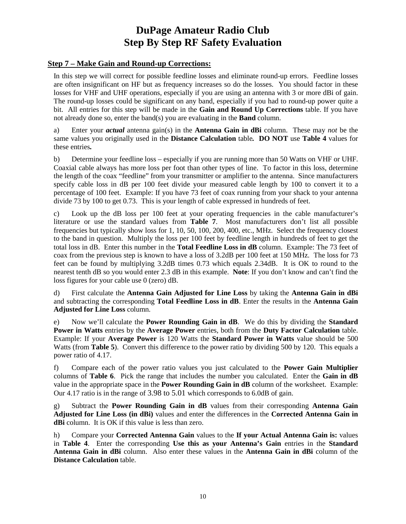#### **Step 7 – Make Gain and Round-up Corrections:**

In this step we will correct for possible feedline losses and eliminate round-up errors. Feedline losses are often insignificant on HF but as frequency increases so do the losses. You should factor in these losses for VHF and UHF operations, especially if you are using an antenna with 3 or more dBi of gain. The round-up losses could be significant on any band, especially if you had to round-up power quite a bit. All entries for this step will be made in the **Gain and Round Up Corrections** table. If you have not already done so, enter the band(s) you are evaluating in the **Band** column.

a) Enter your *actual* antenna gain(s) in the **Antenna Gain in dBi** column. These may *not* be the same values you originally used in the **Distance Calculation** table*.* **DO NOT** use **Table 4** values for these entries*.*

b) Determine your feedline loss – especially if you are running more than 50 Watts on VHF or UHF. Coaxial cable always has more loss per foot than other types of line. To factor in this loss, determine the length of the coax "feedline" from your transmitter or amplifier to the antenna. Since manufacturers specify cable loss in dB per 100 feet divide your measured cable length by 100 to convert it to a percentage of 100 feet. Example: If you have 73 feet of coax running from your shack to your antenna divide 73 by 100 to get 0.73. This is your length of cable expressed in hundreds of feet.

c) Look up the dB loss per 100 feet at your operating frequencies in the cable manufacturer's literature or use the standard values from **Table 7**. Most manufacturers don't list all possible frequencies but typically show loss for 1, 10, 50, 100, 200, 400, etc., MHz. Select the frequency closest to the band in question. Multiply the loss per 100 feet by feedline length in hundreds of feet to get the total loss in dB. Enter this number in the **Total Feedline Loss in dB** column. Example: The 73 feet of coax from the previous step is known to have a loss of 3.2dB per 100 feet at 150 MHz. The loss for 73 feet can be found by multiplying 3.2dB times 0.73 which equals 2.34dB. It is OK to round to the nearest tenth dB so you would enter 2.3 dB in this example. **Note**: If you don't know and can't find the loss figures for your cable use 0 (zero) dB.

d) First calculate the **Antenna Gain Adjusted for Line Loss** by taking the **Antenna Gain in dBi**  and subtracting the corresponding **Total Feedline Loss in dB**. Enter the results in the **Antenna Gain Adjusted for Line Loss** column.

e) Now we'll calculate the **Power Rounding Gain in dB**. We do this by dividing the **Standard Power in Watts** entries by the **Average Power** entries, both from the **Duty Factor Calculation** table. Example: If your **Average Power** is 120 Watts the **Standard Power in Watts** value should be 500 Watts (from **Table 5**). Convert this difference to the power ratio by dividing 500 by 120. This equals a power ratio of 4.17.

f) Compare each of the power ratio values you just calculated to the **Power Gain Multiplier** columns of **Table 6**. Pick the range that includes the number you calculated. Enter the **Gain in dB** value in the appropriate space in the **Power Rounding Gain in dB** column of the worksheet. Example: Our 4.17 ratio is in the range of 3.98 to 5.01 which corresponds to 6.0dB of gain.

g) Subtract the **Power Rounding Gain in dB** values from their corresponding **Antenna Gain Adjusted for Line Loss (in dBi)** values and enter the differences in the **Corrected Antenna Gain in dBi** column. It is OK if this value is less than zero.

h) Compare your **Corrected Antenna Gain** values to the **If your Actual Antenna Gain is:** values in **Table 4**. Enter the corresponding **Use this as your Antenna's Gain** entries in the **Standard Antenna Gain in dBi** column. Also enter these values in the **Antenna Gain in dBi** column of the **Distance Calculation** table.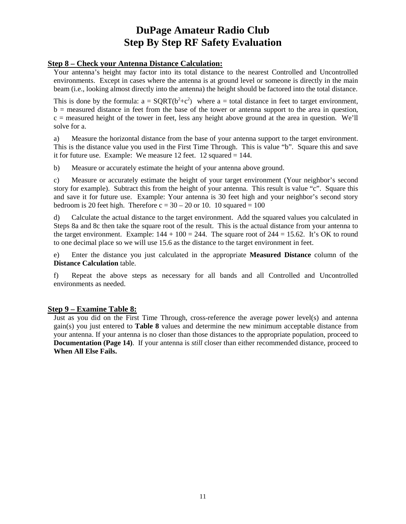#### **Step 8 – Check your Antenna Distance Calculation:**

Your antenna's height may factor into its total distance to the nearest Controlled and Uncontrolled environments. Except in cases where the antenna is at ground level or someone is directly in the main beam (i.e., looking almost directly into the antenna) the height should be factored into the total distance.

This is done by the formula:  $a = SQRT(b^2+c^2)$  where  $a = total distance$  in feet to target environment,  $b =$  measured distance in feet from the base of the tower or antenna support to the area in question,  $c$  = measured height of the tower in feet, less any height above ground at the area in question. We'll solve for a.

a) Measure the horizontal distance from the base of your antenna support to the target environment. This is the distance value you used in the First Time Through. This is value "b". Square this and save it for future use. Example: We measure 12 feet. 12 squared  $= 144$ .

b) Measure or accurately estimate the height of your antenna above ground.

c) Measure or accurately estimate the height of your target environment (Your neighbor's second story for example). Subtract this from the height of your antenna. This result is value "c". Square this and save it for future use. Example: Your antenna is 30 feet high and your neighbor's second story bedroom is 20 feet high. Therefore  $c = 30 - 20$  or 10. 10 squared = 100

d) Calculate the actual distance to the target environment. Add the squared values you calculated in Steps 8a and 8c then take the square root of the result. This is the actual distance from your antenna to the target environment. Example:  $144 + 100 = 244$ . The square root of  $244 = 15.62$ . It's OK to round to one decimal place so we will use 15.6 as the distance to the target environment in feet.

e) Enter the distance you just calculated in the appropriate **Measured Distance** column of the **Distance Calculation** table.

f) Repeat the above steps as necessary for all bands and all Controlled and Uncontrolled environments as needed.

#### **Step 9 – Examine Table 8:**

Just as you did on the First Time Through, cross-reference the average power level(s) and antenna gain(s) you just entered to **Table 8** values and determine the new minimum acceptable distance from your antenna. If your antenna is no closer than those distances to the appropriate population, proceed to **Documentation (Page 14).** If your antenna is *still* closer than either recommended distance, proceed to **When All Else Fails.**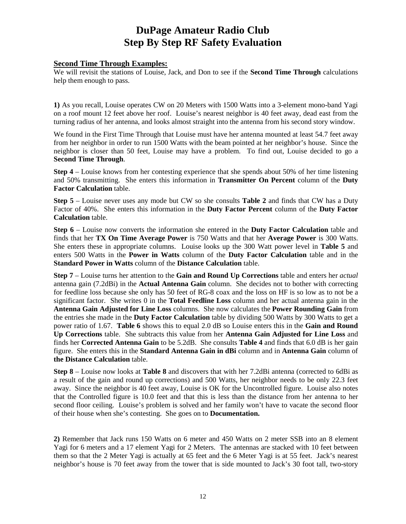#### **Second Time Through Examples:**

We will revisit the stations of Louise, Jack, and Don to see if the **Second Time Through** calculations help them enough to pass.

**1)** As you recall, Louise operates CW on 20 Meters with 1500 Watts into a 3-element mono-band Yagi on a roof mount 12 feet above her roof. Louise's nearest neighbor is 40 feet away, dead east from the turning radius of her antenna, and looks almost straight into the antenna from his second story window.

We found in the First Time Through that Louise must have her antenna mounted at least 54.7 feet away from her neighbor in order to run 1500 Watts with the beam pointed at her neighbor's house. Since the neighbor is closer than 50 feet, Louise may have a problem. To find out, Louise decided to go a **Second Time Through**.

**Step 4** – Louise knows from her contesting experience that she spends about 50% of her time listening and 50% transmitting. She enters this information in **Transmitter On Percent** column of the **Duty Factor Calculation** table.

**Step 5** – Louise never uses any mode but CW so she consults **Table 2** and finds that CW has a Duty Factor of 40%. She enters this information in the **Duty Factor Percent** column of the **Duty Factor Calculation** table.

**Step 6** – Louise now converts the information she entered in the **Duty Factor Calculation** table and finds that her **TX On Time Average Power** is 750 Watts and that her **Average Power** is 300 Watts. She enters these in appropriate columns. Louise looks up the 300 Watt power level in **Table 5** and enters 500 Watts in the **Power in Watts** column of the **Duty Factor Calculation** table and in the **Standard Power in Watts** column of the **Distance Calculation** table.

**Step 7** – Louise turns her attention to the **Gain and Round Up Corrections** table and enters her *actual* antenna gain (7.2dBi) in the **Actual Antenna Gain** column. She decides not to bother with correcting for feedline loss because she only has 50 feet of RG-8 coax and the loss on HF is so low as to not be a significant factor. She writes 0 in the **Total Feedline Loss** column and her actual antenna gain in the **Antenna Gain Adjusted for Line Loss** columns. She now calculates the **Power Rounding Gain** from the entries she made in the **Duty Factor Calculation** table by dividing 500 Watts by 300 Watts to get a power ratio of 1.67. **Table 6** shows this to equal 2.0 dB so Louise enters this in the **Gain and Round Up Corrections** table. She subtracts this value from her **Antenna Gain Adjusted for Line Loss** and finds her **Corrected Antenna Gain** to be 5.2dB. She consults **Table 4** and finds that 6.0 dB is her gain figure. She enters this in the **Standard Antenna Gain in dBi** column and in **Antenna Gain** column of **the Distance Calculation** table.

**Step 8** – Louise now looks at **Table 8** and discovers that with her 7.2dBi antenna (corrected to 6dBi as a result of the gain and round up corrections) and 500 Watts, her neighbor needs to be only 22.3 feet away. Since the neighbor is 40 feet away, Louise is OK for the Uncontrolled figure. Louise also notes that the Controlled figure is 10.0 feet and that this is less than the distance from her antenna to her second floor ceiling. Louise's problem is solved and her family won't have to vacate the second floor of their house when she's contesting. She goes on to **Documentation.**

**2)** Remember that Jack runs 150 Watts on 6 meter and 450 Watts on 2 meter SSB into an 8 element Yagi for 6 meters and a 17 element Yagi for 2 Meters. The antennas are stacked with 10 feet between them so that the 2 Meter Yagi is actually at 65 feet and the 6 Meter Yagi is at 55 feet. Jack's nearest neighbor's house is 70 feet away from the tower that is side mounted to Jack's 30 foot tall, two-story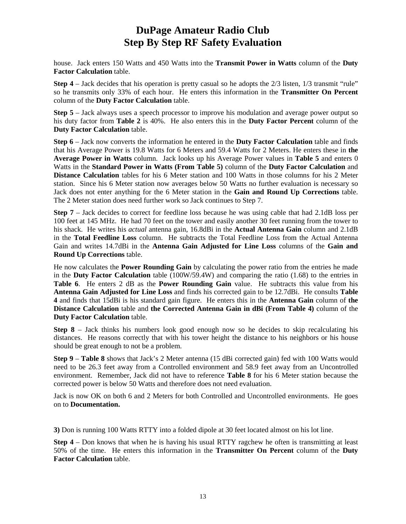house. Jack enters 150 Watts and 450 Watts into the **Transmit Power in Watts** column of the **Duty Factor Calculation** table.

**Step 4** – Jack decides that his operation is pretty casual so he adopts the 2/3 listen, 1/3 transmit "rule" so he transmits only 33% of each hour. He enters this information in the **Transmitter On Percent**  column of the **Duty Factor Calculation** table.

**Step 5** – Jack always uses a speech processor to improve his modulation and average power output so his duty factor from **Table 2** is 40%. He also enters this in the **Duty Factor Percent** column of the **Duty Factor Calculation** table.

**Step 6** – Jack now converts the information he entered in the **Duty Factor Calculation** table and finds that his Average Power is 19.8 Watts for 6 Meters and 59.4 Watts for 2 Meters. He enters these in **the Average Power in Watts** column. Jack looks up his Average Power values in **Table 5** and enters 0 Watts in the **Standard Power in Watts (From Table 5)** column of the **Duty Factor Calculation** and **Distance Calculation** tables for his 6 Meter station and 100 Watts in those columns for his 2 Meter station. Since his 6 Meter station now averages below 50 Watts no further evaluation is necessary so Jack does not enter anything for the 6 Meter station in the **Gain and Round Up Corrections** table. The 2 Meter station does need further work so Jack continues to Step 7.

**Step 7** – Jack decides to correct for feedline loss because he was using cable that had 2.1dB loss per 100 feet at 145 MHz. He had 70 feet on the tower and easily another 30 feet running from the tower to his shack. He writes his *actual* antenna gain, 16.8dBi in the **Actual Antenna Gain** column and 2.1dB in the **Total Feedline Loss** column. He subtracts the Total Feedline Loss from the Actual Antenna Gain and writes 14.7dBi in the **Antenna Gain Adjusted for Line Loss** columns of the **Gain and Round Up Corrections** table.

He now calculates the **Power Rounding Gain** by calculating the power ratio from the entries he made in the **Duty Factor Calculation** table (100W/59.4W) and comparing the ratio (1.68) to the entries in **Table 6**. He enters 2 dB as the **Power Rounding Gain** value. He subtracts this value from his **Antenna Gain Adjusted for Line Loss** and finds his corrected gain to be 12.7dBi. He consults **Table 4** and finds that 15dBi is his standard gain figure. He enters this in the **Antenna Gain** column of **the Distance Calculation** table and **the Corrected Antenna Gain in dBi (From Table 4)** column of the **Duty Factor Calculation** table.

**Step 8** – Jack thinks his numbers look good enough now so he decides to skip recalculating his distances. He reasons correctly that with his tower height the distance to his neighbors or his house should be great enough to not be a problem.

**Step 9** – **Table 8** shows that Jack's 2 Meter antenna (15 dBi corrected gain) fed with 100 Watts would need to be 26.3 feet away from a Controlled environment and 58.9 feet away from an Uncontrolled environment. Remember, Jack did not have to reference **Table 8** for his 6 Meter station because the corrected power is below 50 Watts and therefore does not need evaluation.

Jack is now OK on both 6 and 2 Meters for both Controlled and Uncontrolled environments. He goes on to **Documentation.**

**3)** Don is running 100 Watts RTTY into a folded dipole at 30 feet located almost on his lot line.

**Step 4** – Don knows that when he is having his usual RTTY ragchew he often is transmitting at least 50% of the time. He enters this information in the **Transmitter On Percent** column of the **Duty Factor Calculation** table.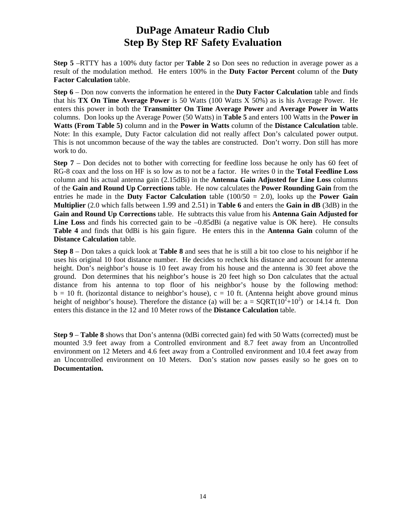**Step 5** –RTTY has a 100% duty factor per **Table 2** so Don sees no reduction in average power as a result of the modulation method. He enters 100% in the **Duty Factor Percent** column of the **Duty Factor Calculation** table.

**Step 6** – Don now converts the information he entered in the **Duty Factor Calculation** table and finds that his **TX On Time Average Power** is 50 Watts (100 Watts X 50%) as is his Average Power. He enters this power in both the **Transmitter On Time Average Power** and **Average Power in Watts** columns. Don looks up the Average Power (50 Watts) in **Table 5** and enters 100 Watts in the **Power in Watts (From Table 5)** column and in the **Power in Watts** column of the **Distance Calculation** table. Note: In this example, Duty Factor calculation did not really affect Don's calculated power output. This is not uncommon because of the way the tables are constructed. Don't worry. Don still has more work to do.

**Step 7** – Don decides not to bother with correcting for feedline loss because he only has 60 feet of RG-8 coax and the loss on HF is so low as to not be a factor. He writes 0 in the **Total Feedline Loss** column and his actual antenna gain (2.15dBi) in the **Antenna Gain Adjusted for Line Loss** columns of the **Gain and Round Up Corrections** table. He now calculates the **Power Rounding Gain** from the entries he made in the **Duty Factor Calculation** table (100/50 = 2.0), looks up the **Power Gain Multiplier** (2.0 which falls between 1.99 and 2.51) in **Table 6** and enters the **Gain in dB** (3dB) in the **Gain and Round Up Corrections** table. He subtracts this value from his **Antenna Gain Adjusted for Line Loss** and finds his corrected gain to be –0.85dBi (a negative value is OK here). He consults **Table 4** and finds that 0dBi is his gain figure. He enters this in the **Antenna Gain** column of the **Distance Calculation** table.

**Step 8** – Don takes a quick look at **Table 8** and sees that he is still a bit too close to his neighbor if he uses his original 10 foot distance number. He decides to recheck his distance and account for antenna height. Don's neighbor's house is 10 feet away from his house and the antenna is 30 feet above the ground. Don determines that his neighbor's house is 20 feet high so Don calculates that the actual distance from his antenna to top floor of his neighbor's house by the following method:  $b = 10$  ft. (horizontal distance to neighbor's house),  $c = 10$  ft. (Antenna height above ground minus height of neighbor's house). Therefore the distance (a) will be:  $a = SQRT(10^2+10^2)$  or 14.14 ft. Don enters this distance in the 12 and 10 Meter rows of the **Distance Calculation** table.

**Step 9** – **Table 8** shows that Don's antenna (0dBi corrected gain) fed with 50 Watts (corrected) must be mounted 3.9 feet away from a Controlled environment and 8.7 feet away from an Uncontrolled environment on 12 Meters and 4.6 feet away from a Controlled environment and 10.4 feet away from an Uncontrolled environment on 10 Meters. Don's station now passes easily so he goes on to **Documentation.**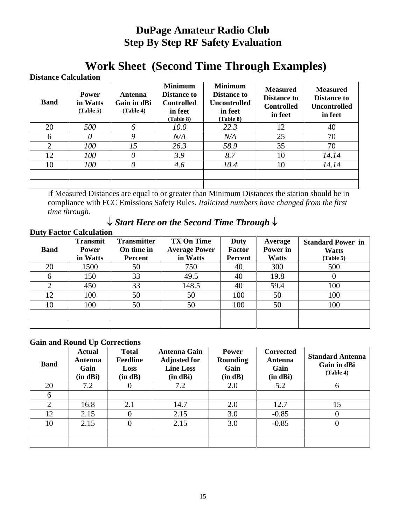# **Work Sheet (Second Time Through Examples)**

### **Distance Calculation**

| <b>Band</b> | <b>Power</b><br>in Watts<br>(Table 5) | Antenna<br>Gain in dBi<br>(Table 4) | <b>Minimum</b><br><b>Distance to</b><br><b>Controlled</b><br>in feet<br>(Table 8) | <b>Minimum</b><br><b>Distance to</b><br><b>Uncontrolled</b><br>in feet<br>(Table 8) | <b>Measured</b><br><b>Distance to</b><br><b>Controlled</b><br>in feet | <b>Measured</b><br><b>Distance to</b><br><b>Uncontrolled</b><br>in feet |
|-------------|---------------------------------------|-------------------------------------|-----------------------------------------------------------------------------------|-------------------------------------------------------------------------------------|-----------------------------------------------------------------------|-------------------------------------------------------------------------|
| 20          | 500                                   | 6                                   | 10.0                                                                              | 22.3                                                                                | 12                                                                    | 40                                                                      |
| 6           |                                       | 9                                   | N/A                                                                               | N/A                                                                                 | 25                                                                    | 70                                                                      |
| 2           | 100                                   | 15                                  | 26.3                                                                              | 58.9                                                                                | 35                                                                    | 70                                                                      |
| 12          | 100                                   | 0                                   | 3.9                                                                               | 8.7                                                                                 | 10                                                                    | 14.14                                                                   |
| 10          | 100                                   | 0                                   | 4.6                                                                               | 10.4                                                                                | 10                                                                    | 14.14                                                                   |
|             |                                       |                                     |                                                                                   |                                                                                     |                                                                       |                                                                         |
|             |                                       |                                     |                                                                                   |                                                                                     |                                                                       |                                                                         |

If Measured Distances are equal to or greater than Minimum Distances the station should be in compliance with FCC Emissions Safety Rules. *Italicized numbers have changed from the first time through.*

↓ *Start Here on the Second Time Through* ↓

#### **Duty Factor Calculation**

| ັ<br><b>Band</b> | <b>Transmit</b><br><b>Power</b><br>in Watts | <b>Transmitter</b><br>On time in<br><b>Percent</b> | <b>TX On Time</b><br><b>Average Power</b><br>in Watts | Duty<br><b>Factor</b><br><b>Percent</b> | Average<br>Power in<br><b>Watts</b> | <b>Standard Power in</b><br><b>Watts</b><br>(Table 5) |
|------------------|---------------------------------------------|----------------------------------------------------|-------------------------------------------------------|-----------------------------------------|-------------------------------------|-------------------------------------------------------|
| 20               | 1500                                        | 50                                                 | 750                                                   | 40                                      | 300                                 | 500                                                   |
| 6                | 150                                         | 33                                                 | 49.5                                                  | 40                                      | 19.8                                |                                                       |
| $\overline{2}$   | 450                                         | 33                                                 | 148.5                                                 | 40                                      | 59.4                                | 100                                                   |
| 12               | 100                                         | 50                                                 | 50                                                    | 100                                     | 50                                  | 100                                                   |
| 10               | 100                                         | 50                                                 | 50                                                    | 100                                     | 50                                  | 100                                                   |
|                  |                                             |                                                    |                                                       |                                         |                                     |                                                       |
|                  |                                             |                                                    |                                                       |                                         |                                     |                                                       |

#### **Gain and Round Up Corrections**

| <b>Band</b> | <b>Actual</b><br>Antenna<br>Gain<br>(in dBi) | <b>Total</b><br><b>Feedline</b><br>Loss<br>(in dB) | Antenna Gain<br><b>Adjusted for</b><br><b>Line Loss</b><br>(in dBi) | <b>Power</b><br><b>Rounding</b><br>Gain<br>(in dB) | <b>Corrected</b><br>Antenna<br>Gain<br>(in dBi) | <b>Standard Antenna</b><br>Gain in dBi<br>(Table 4) |
|-------------|----------------------------------------------|----------------------------------------------------|---------------------------------------------------------------------|----------------------------------------------------|-------------------------------------------------|-----------------------------------------------------|
| 20          | 7.2                                          | U                                                  | 7.2                                                                 | 2.0                                                | 5.2                                             | h                                                   |
| 6           |                                              |                                                    |                                                                     |                                                    |                                                 |                                                     |
| 2           | 16.8                                         | 2.1                                                | 14.7                                                                | 2.0                                                | 12.7                                            | 15                                                  |
| 12          | 2.15                                         | 0                                                  | 2.15                                                                | 3.0                                                | $-0.85$                                         |                                                     |
| 10          | 2.15                                         | 0                                                  | 2.15                                                                | 3.0                                                | $-0.85$                                         | 0                                                   |
|             |                                              |                                                    |                                                                     |                                                    |                                                 |                                                     |
|             |                                              |                                                    |                                                                     |                                                    |                                                 |                                                     |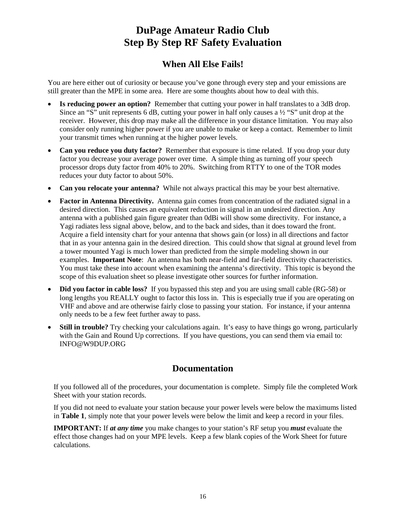### **When All Else Fails!**

You are here either out of curiosity or because you've gone through every step and your emissions are still greater than the MPE in some area. Here are some thoughts about how to deal with this.

- **Is reducing power an option?** Remember that cutting your power in half translates to a 3dB drop. Since an "S" unit represents 6 dB, cutting your power in half only causes a  $\frac{1}{2}$  "S" unit drop at the receiver. However, this drop may make all the difference in your distance limitation. You may also consider only running higher power if you are unable to make or keep a contact. Remember to limit your transmit times when running at the higher power levels.
- **Can you reduce you duty factor?** Remember that exposure is time related. If you drop your duty factor you decrease your average power over time. A simple thing as turning off your speech processor drops duty factor from 40% to 20%. Switching from RTTY to one of the TOR modes reduces your duty factor to about 50%.
- **Can you relocate your antenna?** While not always practical this may be your best alternative.
- **Factor in Antenna Directivity.** Antenna gain comes from concentration of the radiated signal in a desired direction. This causes an equivalent reduction in signal in an undesired direction. Any antenna with a published gain figure greater than 0dBi will show some directivity. For instance, a Yagi radiates less signal above, below, and to the back and sides, than it does toward the front. Acquire a field intensity chart for your antenna that shows gain (or loss) in all directions and factor that in as your antenna gain in the desired direction. This could show that signal at ground level from a tower mounted Yagi is much lower than predicted from the simple modeling shown in our examples. **Important Note**: An antenna has both near-field and far-field directivity characteristics. You must take these into account when examining the antenna's directivity. This topic is beyond the scope of this evaluation sheet so please investigate other sources for further information.
- **Did you factor in cable loss?** If you bypassed this step and you are using small cable (RG-58) or long lengths you REALLY ought to factor this loss in. This is especially true if you are operating on VHF and above and are otherwise fairly close to passing your station. For instance, if your antenna only needs to be a few feet further away to pass.
- **Still in trouble?** Try checking your calculations again. It's easy to have things go wrong, particularly with the Gain and Round Up corrections. If you have questions, you can send them via email to: INFO@W9DUP.ORG

### **Documentation**

If you followed all of the procedures, your documentation is complete. Simply file the completed Work Sheet with your station records.

If you did not need to evaluate your station because your power levels were below the maximums listed in **Table 1**, simply note that your power levels were below the limit and keep a record in your files.

**IMPORTANT:** If *at any time* you make changes to your station's RF setup you *must* evaluate the effect those changes had on your MPE levels. Keep a few blank copies of the Work Sheet for future calculations.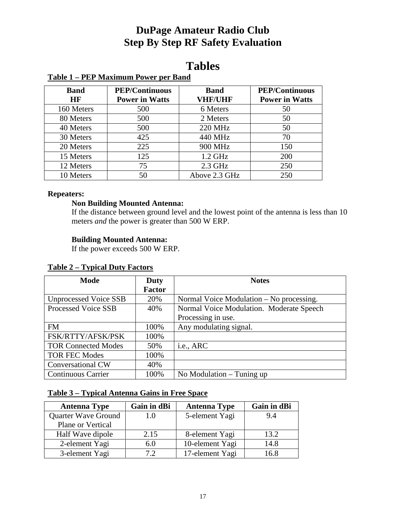# **Tables**

#### **Table 1 – PEP Maximum Power per Band**

| <b>Band</b><br>HF | <b>PEP/Continuous</b><br><b>Power in Watts</b> | <b>Band</b><br><b>VHF/UHF</b> | <b>PEP/Continuous</b><br><b>Power in Watts</b> |
|-------------------|------------------------------------------------|-------------------------------|------------------------------------------------|
| 160 Meters        | 500                                            | 6 Meters                      | 50                                             |
| 80 Meters         | 500                                            | 2 Meters                      | 50                                             |
| 40 Meters         | 500                                            | <b>220 MHz</b>                | 50                                             |
| 30 Meters         | 425                                            | 440 MHz                       | 70                                             |
| 20 Meters         | 225                                            | 900 MHz                       | 150                                            |
| 15 Meters         | 125                                            | $1.2$ GHz                     | 200                                            |
| 12 Meters         | 75                                             | $2.3$ GHz                     | 250                                            |
| 10 Meters         | 50                                             | Above 2.3 GHz                 | 250                                            |

#### **Repeaters:**

#### **Non Building Mounted Antenna:**

If the distance between ground level and the lowest point of the antenna is less than 10 meters *and* the power is greater than 500 W ERP.

#### **Building Mounted Antenna:**

If the power exceeds 500 W ERP.

### **Table 2 – Typical Duty Factors**

| Mode                         | Duty          | <b>Notes</b>                             |
|------------------------------|---------------|------------------------------------------|
|                              | <b>Factor</b> |                                          |
| <b>Unprocessed Voice SSB</b> | 20%           | Normal Voice Modulation – No processing. |
| Processed Voice SSB          | 40%           | Normal Voice Modulation. Moderate Speech |
|                              |               | Processing in use.                       |
| <b>FM</b>                    | 100%          | Any modulating signal.                   |
| FSK/RTTY/AFSK/PSK            | 100%          |                                          |
| <b>TOR Connected Modes</b>   | 50%           | i.e., ARC                                |
| <b>TOR FEC Modes</b>         | 100%          |                                          |
| Conversational CW            | 40%           |                                          |
| <b>Continuous Carrier</b>    | 100%          | No Modulation $-$ Tuning up              |

### **Table 3 – Typical Antenna Gains in Free Space**

| <b>Antenna Type</b> | Gain in dBi | <b>Antenna Type</b> | Gain in dBi |
|---------------------|-------------|---------------------|-------------|
| Quarter Wave Ground | 1.0         | 5-element Yagi      | 9.4         |
| Plane or Vertical   |             |                     |             |
| Half Wave dipole    | 2.15        | 8-element Yagi      | 13.2        |
| 2-element Yagi      | 6.0         | 10-element Yagi     | 14.8        |
| 3-element Yagi      | 7 2         | 17-element Yagi     | 16.8        |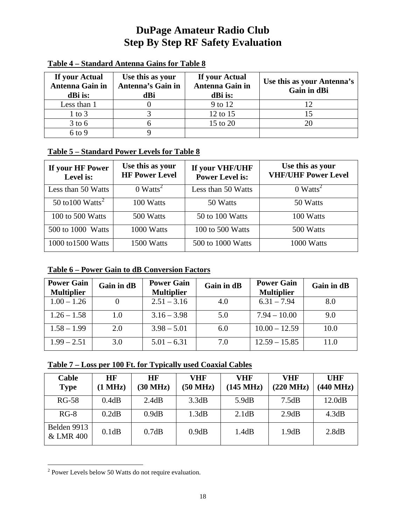| If your Actual<br><b>Antenna Gain in</b><br>dBi is: | Use this as your<br>Antenna's Gain in<br>dBi | If your Actual<br><b>Antenna Gain in</b><br>dBi is: | Use this as your Antenna's<br>Gain in dBi |
|-----------------------------------------------------|----------------------------------------------|-----------------------------------------------------|-------------------------------------------|
| Less than 1                                         |                                              | 9 to 12                                             |                                           |
| $1$ to $3$                                          |                                              | 12 to 15                                            |                                           |
| $3$ to 6                                            |                                              | 15 to 20                                            |                                           |
| $6$ to 9                                            |                                              |                                                     |                                           |

| Table 4 – Standard Antenna Gains for Table 8 |  |  |
|----------------------------------------------|--|--|
|                                              |  |  |

### **Table 5 – Standard Power Levels for Table 8**

| If your HF Power<br>Level is: | Use this as your<br><b>HF Power Level</b> | If your VHF/UHF<br>Power Level is: | Use this as your<br><b>VHF/UHF Power Level</b> |
|-------------------------------|-------------------------------------------|------------------------------------|------------------------------------------------|
| Less than 50 Watts            | $0$ Watts <sup>2</sup>                    | Less than 50 Watts                 | $0$ Watts <sup>2</sup>                         |
| 50 to 100 Watts <sup>2</sup>  | 100 Watts                                 | 50 Watts                           | 50 Watts                                       |
| 100 to 500 Watts              | 500 Watts                                 | 50 to 100 Watts                    | 100 Watts                                      |
| 500 to 1000 Watts             | 1000 Watts                                | 100 to 500 Watts                   | 500 Watts                                      |
| 1000 to1500 Watts             | 1500 Watts                                | 500 to 1000 Watts                  | 1000 Watts                                     |

### **Table 6 – Power Gain to dB Conversion Factors**

| <b>Power Gain</b><br><b>Multiplier</b> | Gain in dB | <b>Power Gain</b><br><b>Multiplier</b> | Gain in dB | <b>Power Gain</b><br><b>Multiplier</b> | Gain in dB |
|----------------------------------------|------------|----------------------------------------|------------|----------------------------------------|------------|
| $1.00 - 1.26$                          |            | $2.51 - 3.16$                          | 4.0        | $6.31 - 7.94$                          | 8.0        |
| $1.26 - 1.58$                          | 1.0        | $3.16 - 3.98$                          | 5.0        | $7.94 - 10.00$                         | 9.0        |
| $1.58 - 1.99$                          | 2.0        | $3.98 - 5.01$                          | 6.0        | $10.00 - 12.59$                        | 10.0       |
| $1.99 - 2.51$                          | 3.0        | $5.01 - 6.31$                          | 7.0        | $12.59 - 15.85$                        | 11.0       |

### **Table 7 – Loss per 100 Ft. for Typically used Coaxial Cables**

| Cable<br><b>Type</b>     | <b>HF</b><br>(1 MHz) | <b>HF</b><br>(30 MHz) | VHF<br>(50 MHz) | VHF<br>(145 MHz) | VHF<br>$(220 \text{ MHz})$ | UHF<br>$(440 \text{ MHz})$ |
|--------------------------|----------------------|-----------------------|-----------------|------------------|----------------------------|----------------------------|
| $RG-58$                  | 0.4dB                | 2.4dB                 | 3.3dB           | 5.9dB            | 7.5dB                      | 12.0dB                     |
| $RG-8$                   | 0.2dB                | 0.9dB                 | 1.3dB           | 2.1dB            | 2.9dB                      | 4.3dB                      |
| Belden 9913<br>& LMR 400 | 0.1dB                | 0.7dB                 | 0.9dB           | 1.4dB            | 1.9dB                      | 2.8dB                      |

<span id="page-17-0"></span><sup>&</sup>lt;sup>2</sup> Power Levels below 50 Watts do not require evaluation.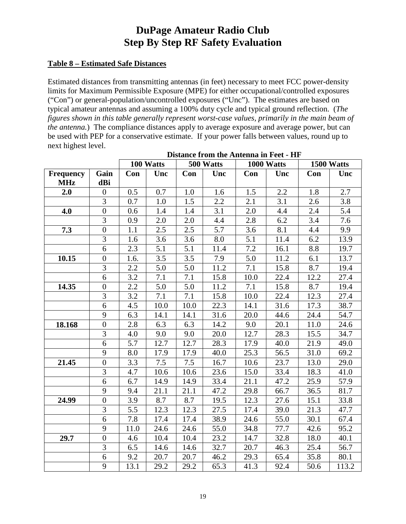### **Table 8 – Estimated Safe Distances**

Estimated distances from transmitting antennas (in feet) necessary to meet FCC power-density limits for Maximum Permissible Exposure (MPE) for either occupational/controlled exposures ("Con") or general-population/uncontrolled exposures ("Unc"). The estimates are based on typical amateur antennas and assuming a 100% duty cycle and typical ground reflection. (*The figures shown in this table generally represent worst-case values, primarily in the main beam of the antenna.*) The compliance distances apply to average exposure and average power, but can be used with PEP for a conservative estimate. If your power falls between values, round up to next highest level.

|                  |                  |      | 100 Watts |      | 500 Watts |      | 1000 Watts | 1500 Watts |       |
|------------------|------------------|------|-----------|------|-----------|------|------------|------------|-------|
| <b>Frequency</b> | Gain             | Con  | Unc       | Con  | Unc       | Con  | Unc        | Con        | Unc   |
| <b>MHz</b>       | dBi              |      |           |      |           |      |            |            |       |
| 2.0              | $\overline{0}$   | 0.5  | 0.7       | 1.0  | 1.6       | 1.5  | 2.2        | 1.8        | 2.7   |
|                  | $\overline{3}$   | 0.7  | 1.0       | 1.5  | 2.2       | 2.1  | 3.1        | 2.6        | 3.8   |
| 4.0              | $\overline{0}$   | 0.6  | 1.4       | 1.4  | 3.1       | 2.0  | 4.4        | 2.4        | 5.4   |
|                  | $\overline{3}$   | 0.9  | 2.0       | 2.0  | 4.4       | 2.8  | 6.2        | 3.4        | 7.6   |
| 7.3              | $\boldsymbol{0}$ | 1.1  | 2.5       | 2.5  | 5.7       | 3.6  | 8.1        | 4.4        | 9.9   |
|                  | $\overline{3}$   | 1.6  | 3.6       | 3.6  | 8.0       | 5.1  | 11.4       | 6.2        | 13.9  |
|                  | $\overline{6}$   | 2.3  | 5.1       | 5.1  | 11.4      | 7.2  | 16.1       | 8.8        | 19.7  |
| 10.15            | $\boldsymbol{0}$ | 1.6. | 3.5       | 3.5  | 7.9       | 5.0  | 11.2       | 6.1        | 13.7  |
|                  | $\overline{3}$   | 2.2  | 5.0       | 5.0  | 11.2      | 7.1  | 15.8       | 8.7        | 19.4  |
|                  | 6                | 3.2  | 7.1       | 7.1  | 15.8      | 10.0 | 22.4       | 12.2       | 27.4  |
| 14.35            | $\overline{0}$   | 2.2  | 5.0       | 5.0  | 11.2      | 7.1  | 15.8       | 8.7        | 19.4  |
|                  | $\overline{3}$   | 3.2  | 7.1       | 7.1  | 15.8      | 10.0 | 22.4       | 12.3       | 27.4  |
|                  | 6                | 4.5  | 10.0      | 10.0 | 22.3      | 14.1 | 31.6       | 17.3       | 38.7  |
|                  | 9                | 6.3  | 14.1      | 14.1 | 31.6      | 20.0 | 44.6       | 24.4       | 54.7  |
| 18.168           | $\boldsymbol{0}$ | 2.8  | 6.3       | 6.3  | 14.2      | 9.0  | 20.1       | 11.0       | 24.6  |
|                  | 3                | 4.0  | 9.0       | 9.0  | 20.0      | 12.7 | 28.3       | 15.5       | 34.7  |
|                  | 6                | 5.7  | 12.7      | 12.7 | 28.3      | 17.9 | 40.0       | 21.9       | 49.0  |
|                  | $\overline{9}$   | 8.0  | 17.9      | 17.9 | 40.0      | 25.3 | 56.5       | 31.0       | 69.2  |
| 21.45            | $\boldsymbol{0}$ | 3.3  | 7.5       | 7.5  | 16.7      | 10.6 | 23.7       | 13.0       | 29.0  |
|                  | $\overline{3}$   | 4.7  | 10.6      | 10.6 | 23.6      | 15.0 | 33.4       | 18.3       | 41.0  |
|                  | 6                | 6.7  | 14.9      | 14.9 | 33.4      | 21.1 | 47.2       | 25.9       | 57.9  |
|                  | 9                | 9.4  | 21.1      | 21.1 | 47.2      | 29.8 | 66.7       | 36.5       | 81.7  |
| 24.99            | $\boldsymbol{0}$ | 3.9  | 8.7       | 8.7  | 19.5      | 12.3 | 27.6       | 15.1       | 33.8  |
|                  | $\overline{3}$   | 5.5  | 12.3      | 12.3 | 27.5      | 17.4 | 39.0       | 21.3       | 47.7  |
|                  | 6                | 7.8  | 17.4      | 17.4 | 38.9      | 24.6 | 55.0       | 30.1       | 67.4  |
|                  | 9                | 11.0 | 24.6      | 24.6 | 55.0      | 34.8 | 77.7       | 42.6       | 95.2  |
| 29.7             | $\overline{0}$   | 4.6  | 10.4      | 10.4 | 23.2      | 14.7 | 32.8       | 18.0       | 40.1  |
|                  | $\overline{3}$   | 6.5  | 14.6      | 14.6 | 32.7      | 20.7 | 46.3       | 25.4       | 56.7  |
|                  | $\overline{6}$   | 9.2  | 20.7      | 20.7 | 46.2      | 29.3 | 65.4       | 35.8       | 80.1  |
|                  | 9                | 13.1 | 29.2      | 29.2 | 65.3      | 41.3 | 92.4       | 50.6       | 113.2 |

**Distance from the Antenna in Feet - HF**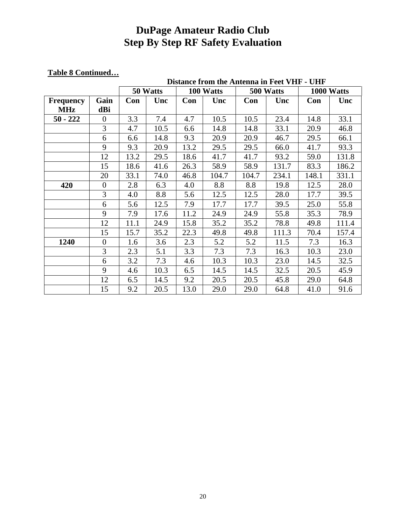# **Table 8 Continued…**

|                  |                | Distance from the Antenna in Feet VHF - UHF |          |      |           |       |           |       |            |
|------------------|----------------|---------------------------------------------|----------|------|-----------|-------|-----------|-------|------------|
|                  |                |                                             | 50 Watts |      | 100 Watts |       | 500 Watts |       | 1000 Watts |
| <b>Frequency</b> | Gain           | Con                                         | Unc      | Con  | Unc       | Con   | Unc       | Con   | Unc        |
| <b>MHz</b>       | dBi            |                                             |          |      |           |       |           |       |            |
| $50 - 222$       | $\overline{0}$ | 3.3                                         | 7.4      | 4.7  | 10.5      | 10.5  | 23.4      | 14.8  | 33.1       |
|                  | 3              | 4.7                                         | 10.5     | 6.6  | 14.8      | 14.8  | 33.1      | 20.9  | 46.8       |
|                  | 6              | 6.6                                         | 14.8     | 9.3  | 20.9      | 20.9  | 46.7      | 29.5  | 66.1       |
|                  | 9              | 9.3                                         | 20.9     | 13.2 | 29.5      | 29.5  | 66.0      | 41.7  | 93.3       |
|                  | 12             | 13.2                                        | 29.5     | 18.6 | 41.7      | 41.7  | 93.2      | 59.0  | 131.8      |
|                  | 15             | 18.6                                        | 41.6     | 26.3 | 58.9      | 58.9  | 131.7     | 83.3  | 186.2      |
|                  | 20             | 33.1                                        | 74.0     | 46.8 | 104.7     | 104.7 | 234.1     | 148.1 | 331.1      |
| 420              | $\overline{0}$ | 2.8                                         | 6.3      | 4.0  | 8.8       | 8.8   | 19.8      | 12.5  | 28.0       |
|                  | 3              | 4.0                                         | 8.8      | 5.6  | 12.5      | 12.5  | 28.0      | 17.7  | 39.5       |
|                  | 6              | 5.6                                         | 12.5     | 7.9  | 17.7      | 17.7  | 39.5      | 25.0  | 55.8       |
|                  | 9              | 7.9                                         | 17.6     | 11.2 | 24.9      | 24.9  | 55.8      | 35.3  | 78.9       |
|                  | 12             | 11.1                                        | 24.9     | 15.8 | 35.2      | 35.2  | 78.8      | 49.8  | 111.4      |
|                  | 15             | 15.7                                        | 35.2     | 22.3 | 49.8      | 49.8  | 111.3     | 70.4  | 157.4      |
| 1240             | $\theta$       | 1.6                                         | 3.6      | 2.3  | 5.2       | 5.2   | 11.5      | 7.3   | 16.3       |
|                  | 3              | 2.3                                         | 5.1      | 3.3  | 7.3       | 7.3   | 16.3      | 10.3  | 23.0       |
|                  | 6              | 3.2                                         | 7.3      | 4.6  | 10.3      | 10.3  | 23.0      | 14.5  | 32.5       |
|                  | 9              | 4.6                                         | 10.3     | 6.5  | 14.5      | 14.5  | 32.5      | 20.5  | 45.9       |
|                  | 12             | 6.5                                         | 14.5     | 9.2  | 20.5      | 20.5  | 45.8      | 29.0  | 64.8       |
|                  | 15             | 9.2                                         | 20.5     | 13.0 | 29.0      | 29.0  | 64.8      | 41.0  | 91.6       |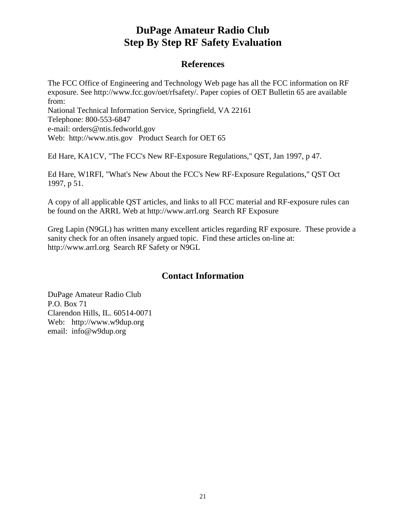### **References**

The FCC Office of Engineering and Technology Web page has all the FCC information on RF exposure. See http://www.fcc.gov/oet/rfsafety/. Paper copies of OET Bulletin 65 are available from: National Technical Information Service, Springfield, VA 22161 Telephone: 800-553-6847 e-mail: orders@ntis.fedworld.gov Web: http://www.ntis.gov Product Search for OET 65

Ed Hare, KA1CV, "The FCC's New RF-Exposure Regulations," QST, Jan 1997, p 47.

Ed Hare, W1RFI, "What's New About the FCC's New RF-Exposure Regulations," QST Oct 1997, p 51.

A copy of all applicable QST articles, and links to all FCC material and RF-exposure rules can be found on the ARRL Web at http://www.arrl.org Search RF Exposure

Greg Lapin (N9GL) has written many excellent articles regarding RF exposure. These provide a sanity check for an often insanely argued topic. Find these articles on-line at: http://www.arrl.org Search RF Safety or N9GL

### **Contact Information**

DuPage Amateur Radio Club P.O. Box 71 Clarendon Hills, IL. 60514-0071 Web: http://www.w9dup.org email: info@w9dup.org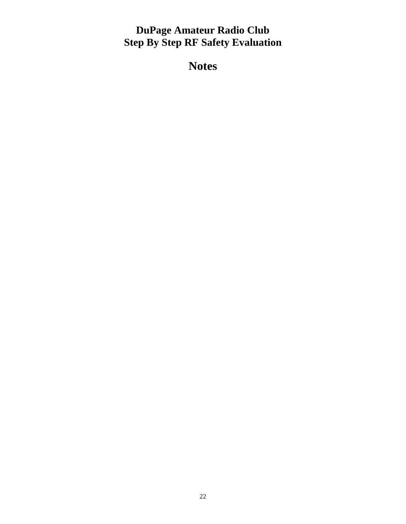**Notes**